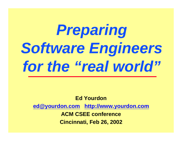# *Preparing Software Engineers for the "real world"*

**Ed Yourdon ed@yourdon.com http://www.yourdon.com ACM CSEE conference Cincinnati, Feb 26, 2002**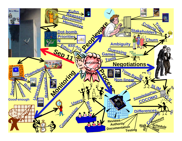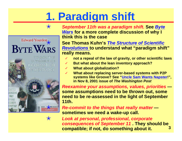## **1. Paradigm shift**



"电工业外电》III 图1-HRORMATION **FECHNOLOGY** 

✭ *September 11th was a paradigm shift.* **See** *Byte Wars* **for a more complete discussion of why I think this is the case**

Edward Yourdon See Thomas Kuhn's The Structure of Scientific<br>**BYTE WARS** Revolutions to understand what "paradigm shift" *Revolutions* **to understand what "paradigm shift" really means.**

- ✓ **not a repeal of the law of gravity, or other scientific laws**
- ✓ **But what about the lean inventory approach?**
- **What about globalization?**
- ✓ **What about replacing server-based systems with P2P systems like Groove? See "Uncle Sam Wants Napster!", in Nov 8, 2001 issue of** *The Washington Post*

✭ *Reexamine your assumptions, values, priorities* **some assumptions need to be thrown out, some need to be re-assessed in the light of September 11th.**

✭ *Re-commit to the things that really matter* **sometimes we need a wake-up call.**

**3** ✭ *Look at personal, professional, corporate consequences of September 11* **. They should be compatible; if not, do something about it.**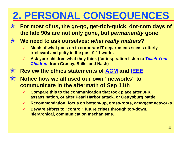### **2. PERSONAL CONSEQUENCES**

✭ **For most of us, the go-go, get-rich-quick, dot-com days of the late 90s are not only gone, but** *permanently* **gone.**

#### ✭ **We need to ask ourselves:** *what really matters***?**

- **Much of what goes on in corporate IT departments seems utterly irrelevant and petty in the post-9-11 world.**
- ✓ **Ask your children what they think (for inspiration listen to** *Teach Your Children***, from Crosby, Stills, and Nash)**
- ✭ **Review the ethics statements of ACM and IEEE**
- ✭ **Notice how we all used our own "networks" to communicate in the aftermath of Sep 11th**
	- ✓ **Compare this to the communication that took place after JFK assassination, or after Pearl Harbor attack, or Gettysburg battle**
	- ✓ **Recommendation: focus on bottom-up, grass-roots,** *emergent* **networks**
	- ✓ **Beware efforts to "control" future crises through top-down, hierarchical, communication mechanisms.**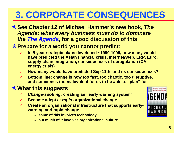#### **3. CORPORATE CONSEQUENCES**

#### ✭**See Chapter 12 of Michael Hammer's new book,** *The Agenda: what every business must do to dominate the The Agenda***, for a good discussion of this.**

#### ✭**Prepare for a world you cannot predict:**

- ✓ **In 5-year strategic plans developed ~1990-1995, how many would have predicted the Asian financial crisis, Internet/Web, ERP, Euro, supply-chain integration, consequences of deregulation (CA energy crisis)**
- ✓ **How many would have predicted Sep 11th, and its consequences?**
- ✓ **Bottom line: change is now too fast, too chaotic, too disruptive, and sometimes too malevolent for us to be able to "plan" for**

#### ✭**What this suggests**

- **Change-spotting: creating an "early warning system"**
- ✓ **Become adept at** *rapid* **organizational change**
- **Create an organizational infrastructure that supports earlywarning and rapid change**
	- <sup>Q</sup> **some of this involves technology**
	- <sup>Q</sup> **but much of it involves organizational culture**

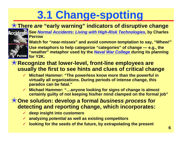# **3.1 Change-spotting**

#### ✭**There** *are* **"early warning" indicators of disruptive change**

✓ **See** *Normal Accidents: Living with High-Risk Technologies***, by Charles Perrow**



Watch for "near-misses" and avoid common temptation to say, "Whew!" Use metaphors to help categorize "categories" of change - e.g., the **"weather" metaphor used by the** *Naval War College* **during its planning**

#### **errow** for Y2K.

#### ✭**Recognize that lower-level, front-line employees are usually the first to see hints and clues of critical change**

- ✓ **Michael Hammer: "The powerless know more than the powerful in virtually all organizations. During periods of intense change, this paradox can be fatal."**
- **Michael Hammer: "...anyone looking for signs of change is almost certainly guilty of not keeping his/her mind clamped on the formal job"**

#### ✭**One solution: develop a formal** *business process* **for detecting and reporting change, which incorporates:**

- ✓ **deep insight into customers**
- ✓ **analyzing** *potential* **as well as existing competitors**
- **looking for the seeds of the future, by extrapolating the present**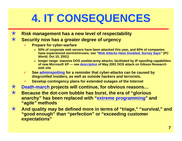## **4. IT CONSEQUENCES**

- ✭ **Risk management has a new level of respectability**
- ✭ **Security now has a greater degree of urgency**
	- ✓ **Prepare for cyber-warfare**
		- <sup>Q</sup> **50% of corporate web servers have been attacked this year, and 90% of companies have experienced worms/viruses; see "Web Attacks Have Doubled, Survey Says" (***PC World,* **Oct 10, 2001)**
		- <sup>Q</sup> **longer range: massive DOS zombie-army attacks, facilitated by IP-spoofing capabilities of new Microsoft XP — see description of May 2001 DOS attack on Gibson Research web site**
	- ✓ **See adminspotting for a reminder that cyber-attacks can be caused by disgruntled insiders, as well as outside hackers and terrorists.**
	- **Develop contingency plans for extended outages of the Internet**
- ✭ **Death-march projects will continue, for obvious reasons…**
- ✭ **Because the dot-com bubble has burst, the era of "glorious anarchy" has been replaced with "extreme programming" and "agile" methods**
- ✭ **And quality may be defined more in terms of "triage," "survival," and "good enough" than "perfection" or "exceeding customer expectations"**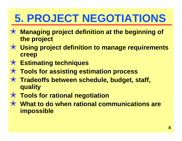# **5. PROJECT NEGOTIATIONS**

- ✭ **Managing project definition at the beginning of the project**
- ✭ **Using project definition to manage requirements creep**
- ✭ **Estimating techniques**
- ✭ **Tools for assisting estimation process**
- ✭ **Tradeoffs between schedule, budget, staff, quality**
- ✭ **Tools for rational negotiation**
- ✭ **What to do when rational communications are impossible**

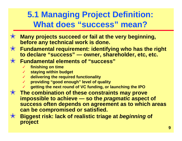#### **5.1 Managing Project Definition: What does "success" mean?**

- ✭ **Many projects succeed or fail at the very beginning, before any technical work is done.**
- ✭ **Fundamental requirement: identifying who has the right to declare "success" — owner, shareholder, etc, etc.**
- ✭ **Fundamental elements of "success"**
	- ✓ **finishing on time**
	- ✓ **staying within budget**
	- ✓ **delivering the required functionality**
	- ✓ **providing "good enough" level of quality**
	- ✓ **getting the next round of VC funding, or launching the IPO**
- ✭ **The combination of these constraints may prove impossible to achieve — so the** *pragmatic* **aspect of success often depends on agreement as to which areas can be compromised or satisfied.**
- ✭ **Biggest risk: lack of realistic triage at** *beginning* **of project**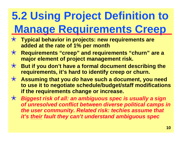# **5.2 Using Project Definition to Manage Requirements Creep**

- ✭ **Typical behavior in projects: new requirements are added at the rate of 1% per month**
- ✭ **Requirements "creep" and requirements "churn" are a major element of project management risk.**
- ✭ **But if you don't have a formal document describing the requirements, it's hard to identify creep or churn.**
- ✭ **Assuming that you** *do* **have such a document, you need to use it to negotiate schedule/budget/staff modifications if the requirements change or increase.**

✭ *Biggest risk of all: an ambiguous spec is usually a sign of unresolved conflict between diverse political camps in the user community. Related risk: techies assume that it's their fault they can't understand ambiguous spec*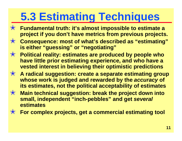### **5.3 Estimating Techniques**

- ✭ **Fundamental truth: it's almost impossible to estimate a project if you don't have metrics from previous projects.**
- ✭ **Consequence: most of what's described as "estimating" is either "guessing" or "negotiating"**
- ✭ **Political reality: estimates are produced by people who have little prior estimating experience, and who have a vested interest in believing their optimistic predictions**
- ✭ **A radical suggestion: create a separate estimating group whose work is judged and rewarded by the** *accuracy* **of its estimates, not the political acceptability of estimates**
- ✭ **Main technical suggestion: break the project down into small, independent "inch-pebbles" and get** *several* **estimates**
- ✭ **For complex projects, get a commercial estimating tool**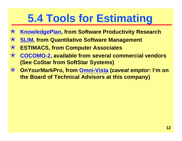## **5.4 Tools for Estimating**

- ✭ **KnowledgePlan, from Software Productivity Research**
- ✭ **SLIM, from Quantitative Software Management**
- ✭ **ESTIMACS, from Computer Associates**
- ✭ **COCOMO-2, available from several commercial vendors (See CoStar from SoftStar Systems)**
- ✭ **OnYourMarkPro, from Omni-Vista (***caveat emptor***: I'm on the Board of Technical Advisors at this company)**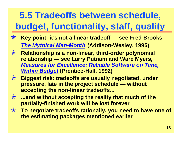#### **5.5 Tradeoffs between schedule, budget, functionality, staff, quality**

- ✭ **Key point: it's not a linear tradeoff see Fred Brooks,** *The Mythical Man-Month* **(Addison-Wesley, 1995)**
- ✭ **Relationship is a non-linear, third-order polynomial relationship — see Larry Putnam and Ware Myers,** *Measures for Excellence: Reliable Software on Time, Within Budget* **(Prentice-Hall, 1992)**
- ✭ **Biggest risk: tradeoffs are usually negotiated, under pressure, late in the project schedule — without accepting the non-linear tradeoffs...**
- ✭ **...and without accepting the reality that much of the partially-finished work will be lost forever**
- ✭ **To negotiate tradeoffs rationally, you need to have one of the estimating packages mentioned earlier**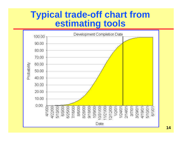#### **Typical trade-off chart from estimating tools**

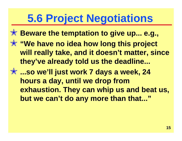### **5.6 Project Negotiations**

- ✭ **Beware the temptation to give up... e.g.,**
- ✭ **"We have no idea how long this project will really take, and it doesn't matter, since they've already told us the deadline...**
- ✭ **...so we'll just work 7 days a week, 24 hours a day, until we drop from exhaustion. They can whip us and beat us, but we can't do any more than that..."**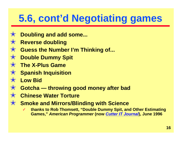### **5.6, cont'd Negotiating games**

- ✭ **Doubling and add some...**
- ✭ **Reverse doubling**
- ✭ **Guess the Number I'm Thinking of...**
- ✭ **Double Dummy Spit**
- ✭ **The X-Plus Game**
- ✭ **Spanish Inquisition**
- ✭ **Low Bid**
- ✭ **Gotcha throwing good money after bad**
- ✭ **Chinese Water Torture**
- ✭ **Smoke and Mirrors/Blinding with Science**
	- ✓ **thanks to Rob Thomsett, "Double Dummy Spit, and Other Estimating Games,"** *American Programmer* **(now** *Cutter IT Journal***), June 1996**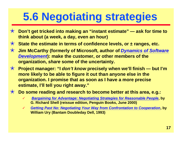### **5.6 Negotiating strategies**

- ✭ **Don't get tricked into making an "instant estimate" ask for time to think about (a week, a day, even an hour)**
- ✭ **State the estimate in terms of confidence levels, or ± ranges, etc.**
- ✭ **Jim McCarthy (formerly of Microsoft, author of** *Dynamics of Software Development***): make the customer, or other members of the organization,** *share* **some of the uncertainty.**
- ✭ **Project manager: "I** *don't know* **precisely when we'll finish but I'm more likely to be able to figure it out than anyone else in the organization. I promise that as soon as I have a more precise estimate, I'll tell you right away."**
- ✭ **Do some reading and research to become better at this area, e.g.:**
	- ✓ *Bargaining for Advantage: Negotiating Strategies for Reasonable People***, by G. Richard Shell (reissue edition, Penguin Books, June 2000)**
	- ✓ *Getting Past No: Negotiating Your Way from Confrontation to Cooperation***, by William Ury (Bantam Doubleday Dell, 1993)**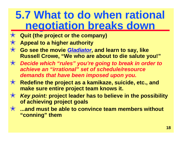#### **5.7 What to do when rational negotiation breaks down**

- ✭ **Quit (the project or the company)**
- ✭ **Appeal to a higher authority**
- ✭ **Go see the movie** *Gladiator***, and learn to say, like Russell Crowe, "We who are about to die salute you!"**
- ✭ *Decide which "rules" you're going to break in order to achieve an "irrational" set of schedule/resource demands that have been imposed upon you.*
- ✭ **Redefine the project as a kamikaze, suicide, etc., and make sure entire project team knows it.**
- ✭ *Key point:* **project leader has to believe in the possibility of achieving project goals**
- ✭ **...and must be able to convince team members without "conning" them**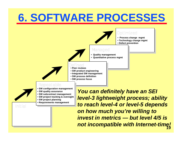### **6. SOFTWARE PROCESSES**

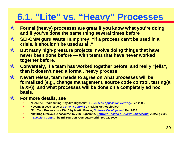#### **6.1. "Lite" vs. "Heavy" Processes**

- ✭ **Formal (heavy) processes are great if you know what you're doing, and if you've done the same thing several times before**
- ✭ **SEI-CMM guru Watts Humphrey: "if a process can't be used in a crisis, it shouldn't be used at all."**
- ✭ **But many high-pressure projects involve doing things that have never been done before — with teams that have never worked together before.**
- ✭ **Conversely, if a team has worked together before, and really "jells", then it doesn't need a formal, heavy process**
- ✭ **Nevertheless, team needs to agree on what processes will be formalized (e.g., change management, source code control, testing(a la XP)), and what processes will be done on a completely ad hoc basis.**
- ✭ **For more details, see**
	- ✓ **"Extreme Programming," by Jim Highsmith,** *e-Business Application Delivery***, Feb 2000.**
	- ✓ **November 2000 issue of** *Cutter IT Journal* **on "Light Methodologies"**
	- ✓ **"Put Your Process on a Diet," by Martin Fowler,** *Software Development***, Dec 2000**
	- ✓ **"Retiring Lifecycle Dinosaurs," by Jim Highsmith,** *Software Testing & Quality Engineering***, Jul/Aug 2000**
	- ✓ **"***The Light Touch***," by Ed Yourdon, Computerworld, Sep 18, 2000**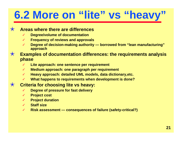# **6.2 More on "lite" vs "heavy"**

#### ✭ **Areas where there are differences**

- ✓ **Degree/volume of documentation**
- **Frequency of reviews and approvals**
- ✓ **Degree of decision-making authority borrowed from "lean manufacturing" approach**
- ✭ **Examples of documentation differences: the requirements analysis phase**
	- Lite approach: one sentence per requirement
	- ✓ **Medium approach: one paragraph per requirement**
	- ✓ **Heavy approach: detailed UML models, data dictionary,etc.**
	- ✓ **What happens to requirements when development is done?**

#### ✭ **Criteria for choosing lite vs heavy:**

- **Degree of pressure for fast delivery**
- ✓ **Project cost**
- ✓ **Project duration**
- ✓ **Staff size**
- ✓ **Risk assessment consequences of failure (safety-critical?)**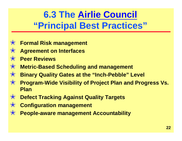#### **6.3 The Airlie Council "Principal Best Practices"**

- ✭ **Formal Risk management**
- ✭ **Agreement on Interfaces**
- ✭ **Peer Reviews**
- ✭ **Metric-Based Scheduling and management**
- ✭ **Binary Quality Gates at the "Inch-Pebble" Level**
- ✭ **Program-Wide Visibility of Project Plan and Progress Vs. Plan**
- ✭ **Defect Tracking Against Quality Targets**
- ✭ **Configuration management**
- ✭ **People-aware management Accountability**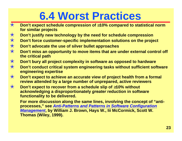### **6.4 Worst Practices**

- ✭ **Don't expect schedule compression of 10% compared to statistical norm for similar projects**
- ✭ **Don't justify new technology by the need for schedule compression**
- ✭ **Don't force customer-specific implementation solutions on the project**
- ✭ **Don't advocate the use of silver bullet approaches**
- ✭ **Don't miss an opportunity to move items that are under external control off the critical path**
- ✭ **Don't bury all project complexity in software as opposed to hardware**
- ✭ **Don't conduct critical system engineering tasks without sufficient software engineering expertise**
- ✭ **Don't expect to achieve an accurate view of project health from a formal review attended by a large number of unprepared, active reviewers**
- ✭ **Don't expect to recover from a schedule slip of 10% without acknowledging a disproportionately** *greater* **reduction in software functionality to be delivered.**

**For more discussion along the same lines, involving the concept of "antiprocesses," see** *Anti-Patterns and Patterns in Software Configuration Management***, by William J. Brown, Hays W., Iii McCormick, Scott W. Thomas (Wiley, 1999).**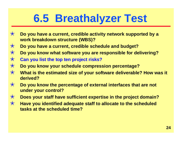### **6.5 Breathalyzer Test**

- ✭ **Do you have a current, credible activity network supported by a work breakdown structure (WBS)?**
- ✭ **Do you have a current, credible schedule and budget?**
- ✭ **Do you know what software you are responsible for delivering?**
- ✭ **Can you list the top ten project risks?**
- ✭ **Do you know your schedule compression percentage?**
- ✭ **What is the estimated size of your software deliverable? How was it derived?**
- ✭ **Do you know the percentage of external interfaces that are not under your control?**
- ✭ **Does your staff have sufficient expertise in the project domain?**
- ✭ **Have you identified adequate staff to allocate to the scheduled tasks at the scheduled time?**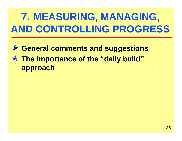### **7. MEASURING, MANAGING, AND CONTROLLING PROGRESS**

#### ✭ **General comments and suggestions** ✭ **The importance of the "daily build" approach**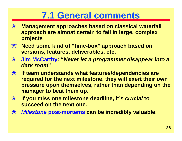#### **7.1 General comments**

- ✭ **Management approaches based on classical waterfall approach are almost certain to fail in large, complex projects**
- ✭ **Need some kind of "time-box" approach based on versions, features, deliverables, etc.**
- ✭ **Jim McCarthy: "***Never let a programmer disappear into a dark room***"**
- ✭ **If team understands what features/dependencies are required for the next milestone, they will exert their own pressure upon themselves, rather than depending on the manager to beat them up.**
- ✭ **If you miss one milestone deadline, it's** *crucial* **to succeed on the next one.**
- ✭ *Milestone* **post-mortems can be incredibly valuable.**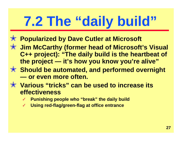# **7.2 The "daily build"**

- ✭ **Popularized by Dave Cutler at Microsoft**
- ✭ **Jim McCarthy (former head of Microsoft's Visual C++ project): "The daily build is the heartbeat of the project — it's how you know you're alive"**
- ✭ **Should be automated, and performed overnight — or even more often.**
- ✭ **Various "tricks" can be used to increase its effectiveness**
	- **Punishing people who "break" the daily build**
	- ✓ **Using red-flag/green-flag at office entrance**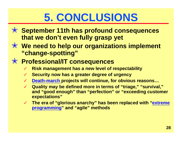## **5. CONCLUSIONS**

- ✭ **September 11th has profound consequences that we don't even fully grasp yet**
- ✭ **We need to help our organizations implement "change-spotting"**
- ✭ **Professional/IT consequences**
	- **Risk management has a new level of respectability**
	- **Security now has a greater degree of urgency**
	- ✓ **Death-march projects will continue, for obvious reasons…**
	- ✓ **Quality may be defined more in terms of "triage," "survival," and "good enough" than "perfection" or "exceeding customer expectations"**
	- ✓ **The era of "glorious anarchy" has been replaced with "extreme programming" and "agile" methods**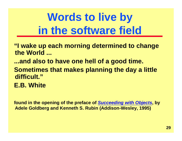# **Words to live by in the software field**

**"I wake up each morning determined to change the World ...**

**...and also to have one hell of a good time.**

**Sometimes that makes planning the day a little difficult."**

**E.B. White**

**found in the opening of the preface of** *Succeeding with Objects***, by Adele Goldberg and Kenneth S. Rubin (Addison-Wesley, 1995)**